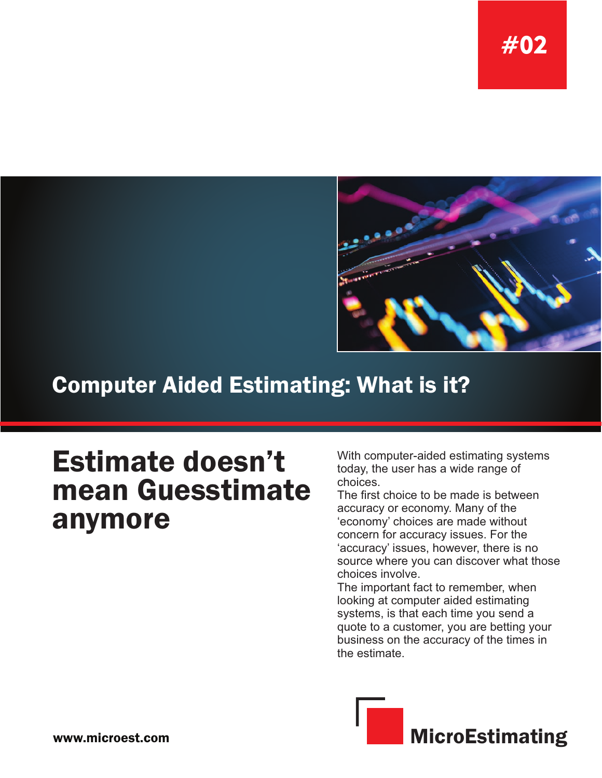

## **Computer Aided Estimating: What is it?**

# Estimate doesn't mean Guesstimate anymore

With computer-aided estimating systems today, the user has a wide range of choices.

The first choice to be made is between accuracy or economy. Many of the 'economy' choices are made without concern for accuracy issues. For the 'accuracy' issues, however, there is no source where you can discover what those choices involve.

The important fact to remember, when looking at computer aided estimating systems, is that each time you send a quote to a customer, you are betting your business on the accuracy of the times in the estimate.

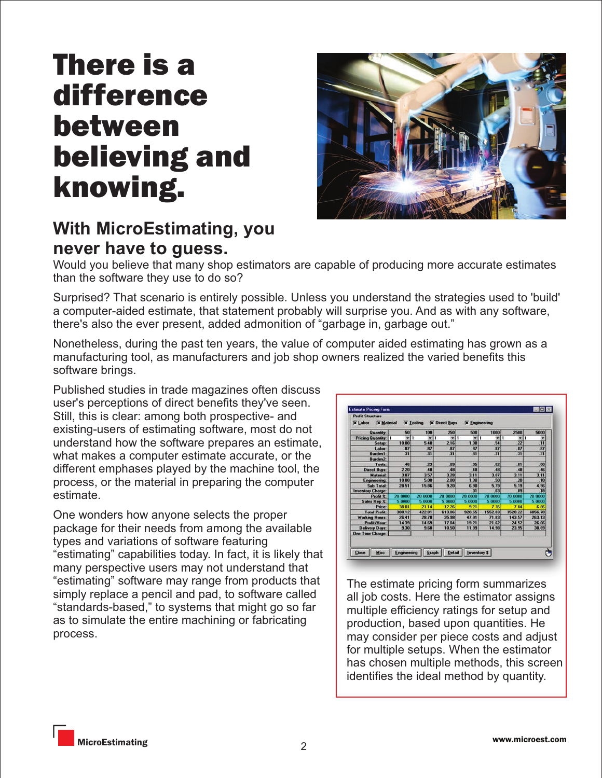# There is a difference between believing and knowing.



## **With MicroEstimating, you never have to guess.**

Would you believe that many shop estimators are capable of producing more accurate estimates than the software they use to do so?

Surprised? That scenario is entirely possible. Unless you understand the strategies used to 'build' a computer-aided estimate, that statement probably will surprise you. And as with any software, there's also the ever present, added admonition of "garbage in, garbage out."

Nonetheless, during the past ten years, the value of computer aided estimating has grown as a manufacturing tool, as manufacturers and job shop owners realized the varied benefits this software brings.

Published studies in trade magazines often discuss user's perceptions of direct benefits they've seen. Still, this is clear: among both prospective- and existing-users of estimating software, most do not understand how the software prepares an estimate, what makes a computer estimate accurate, or the different emphases played by the machine tool, the process, or the material in preparing the computer estimate.

One wonders how anyone selects the proper package for their needs from among the available types and variations of software featuring "estimating" capabilities today. In fact, it is likely that many perspective users may not understand that "estimating" software may range from products that simply replace a pencil and pad, to software called "standards-based," to systems that might go so far as to simulate the entire machining or fabricating process.

| Quantity:                  |                |               |         |         |              |                 |         |
|----------------------------|----------------|---------------|---------|---------|--------------|-----------------|---------|
|                            | 50             | 100           | 250     | 500     | 1000         | 2500            | 5000    |
| <b>Pricing Quantity: 1</b> | $-1$           | $-1$          | $= 1$   | $+1$    | $-1$         | $-1$            |         |
| Setup:                     | 10.80          | 5.40          | 2.16    | 1.08    | 54           | 22              | 11      |
| Labor:                     | $\overline{a}$ | 87            | 87      | B7      | 87           | .87             | BZ      |
| <b>Burden1:</b>            | 31             | 31            | 31      | 31      | 31           | 31              | 31      |
| Burden <sub>2</sub>        |                |               |         |         |              |                 |         |
| Tools                      | 46             | 23            | 09      | 05      | $\mathbf{a}$ | .01             | .00     |
| <b>Direct Buys:</b>        | 2.20           | 48            | 48      | 48      | 48           | 48              | 46      |
| <b>Material:</b>           | 3.87           | 357           | 3.28    | 3.11    | 307          | 3.11            | 3.11    |
| <b>Engineering</b>         | 10.00          | 5.00          | 200     | 1.00    | 50           | $\overline{20}$ | 10      |
| Sub Total:                 | 28.51          | 15.86         | 9.20    | 6.90    | 5.79         | 5.19            | 4.96    |
| <b>Inventory Charge:</b>   |                |               |         | 01      | $\mathbf{a}$ | 09              | 18      |
| Profit 2:                  | 20 0000        | 20,0000       | 20.0000 | 20 0000 | 20 0000      | 20 0000         | 20,0000 |
| Sales Rep 2:               | 5 0000         | 5 0000        | 5.0000  | 5 0000  | 5 0000       | 5.0000          | 5.0000  |
| <b>Price:</b>              | 38.01          | 21.14         | 12.26   | 9.21    | 776          | 7.04            | 6.86    |
| <b>Total Profit:</b>       | 380.12         | <b>422 B1</b> | 613.06  | 920.55  | 1552.83      | 3520.22         | 6856.70 |
| <b>Working Hours:</b>      | 26.41          | 28.78         | 35.98   | 47.91   | 71.83        | 143.57          | 263.13  |
| Profit/Hour:               | 14.39          | 14.69         | 17.04   | 19.21   | 21.62        | 24.52           | 26.06   |
| <b>Delivery Days:</b>      | 9.30           | 9.60          | 10.50   | 11.99   | 14.98        | 23.95           | 38.89   |
| <b>One Time Charge:</b>    |                |               |         |         |              |                 |         |

The estimate pricing form summarizes all job costs. Here the estimator assigns multiple efficiency ratings for setup and production, based upon quantities. He may consider per piece costs and adjust for multiple setups. When the estimator has chosen multiple methods, this screen identifies the ideal method by quantity.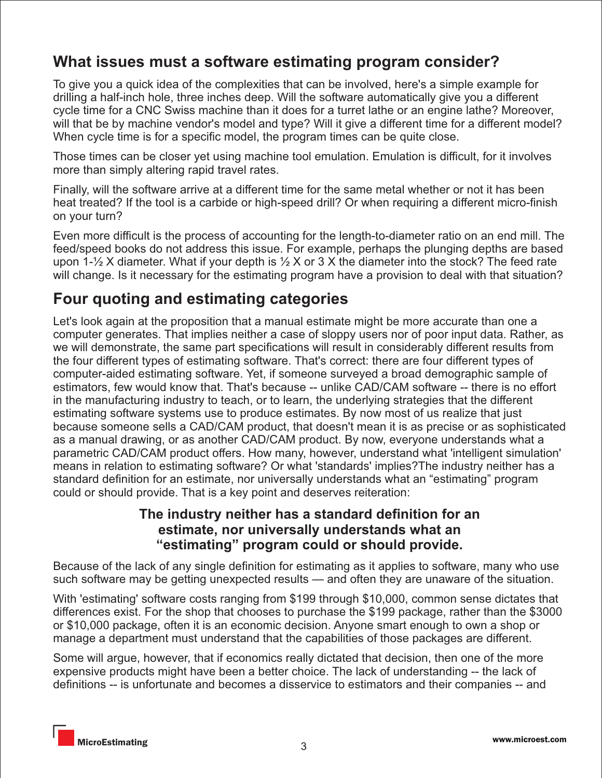## **What issues must a software estimating program consider?**

To give you a quick idea of the complexities that can be involved, here's a simple example for drilling a half-inch hole, three inches deep. Will the software automatically give you a different cycle time for a CNC Swiss machine than it does for a turret lathe or an engine lathe? Moreover, will that be by machine vendor's model and type? Will it give a different time for a different model? When cycle time is for a specific model, the program times can be quite close.

Those times can be closer yet using machine tool emulation. Emulation is difficult, for it involves more than simply altering rapid travel rates.

Finally, will the software arrive at a different time for the same metal whether or not it has been heat treated? If the tool is a carbide or high-speed drill? Or when requiring a different micro-finish on your turn?

Even more difficult is the process of accounting for the length-to-diameter ratio on an end mill. The feed/speed books do not address this issue. For example, perhaps the plunging depths are based upon 1- $\frac{1}{2}$  X diameter. What if your depth is  $\frac{1}{2}$  X or 3 X the diameter into the stock? The feed rate will change. Is it necessary for the estimating program have a provision to deal with that situation?

## **Four quoting and estimating categories**

Let's look again at the proposition that a manual estimate might be more accurate than one a computer generates. That implies neither a case of sloppy users nor of poor input data. Rather, as we will demonstrate, the same part specifications will result in considerably different results from the four different types of estimating software. That's correct: there are four different types of computer-aided estimating software. Yet, if someone surveyed a broad demographic sample of estimators, few would know that. That's because -- unlike CAD/CAM software -- there is no effort in the manufacturing industry to teach, or to learn, the underlying strategies that the different estimating software systems use to produce estimates. By now most of us realize that just because someone sells a CAD/CAM product, that doesn't mean it is as precise or as sophisticated as a manual drawing, or as another CAD/CAM product. By now, everyone understands what a parametric CAD/CAM product offers. How many, however, understand what 'intelligent simulation' means in relation to estimating software? Or what 'standards' implies?The industry neither has a standard definition for an estimate, nor universally understands what an "estimating" program could or should provide. That is a key point and deserves reiteration:

#### **The industry neither has a standard definition for an estimate, nor universally understands what an "estimating" program could or should provide.**

Because of the lack of any single definition for estimating as it applies to software, many who use such software may be getting unexpected results — and often they are unaware of the situation.

With 'estimating' software costs ranging from \$199 through \$10,000, common sense dictates that differences exist. For the shop that chooses to purchase the \$199 package, rather than the \$3000 or \$10,000 package, often it is an economic decision. Anyone smart enough to own a shop or manage a department must understand that the capabilities of those packages are different.

Some will argue, however, that if economics really dictated that decision, then one of the more expensive products might have been a better choice. The lack of understanding -- the lack of definitions -- is unfortunate and becomes a disservice to estimators and their companies -- and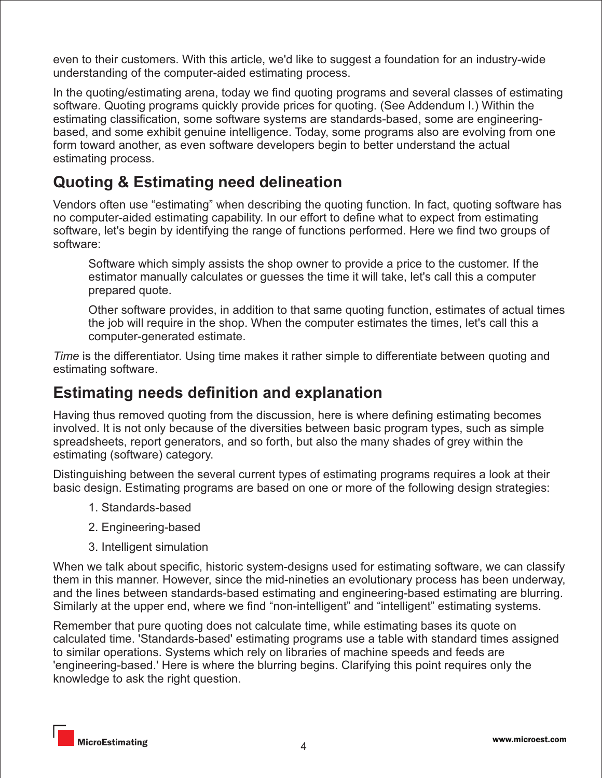even to their customers. With this article, we'd like to suggest a foundation for an industry-wide understanding of the computer-aided estimating process.

In the quoting/estimating arena, today we find quoting programs and several classes of estimating software. Quoting programs quickly provide prices for quoting. (See Addendum I.) Within the estimating classification, some software systems are standards-based, some are engineeringbased, and some exhibit genuine intelligence. Today, some programs also are evolving from one form toward another, as even software developers begin to better understand the actual estimating process.

## **Quoting & Estimating need delineation**

Vendors often use "estimating" when describing the quoting function. In fact, quoting software has no computer-aided estimating capability. In our effort to define what to expect from estimating software, let's begin by identifying the range of functions performed. Here we find two groups of software:

Software which simply assists the shop owner to provide a price to the customer. If the estimator manually calculates or guesses the time it will take, let's call this a computer prepared quote.

Other software provides, in addition to that same quoting function, estimates of actual times the job will require in the shop. When the computer estimates the times, let's call this a computer-generated estimate.

*Time* is the differentiator. Using time makes it rather simple to differentiate between quoting and estimating software.

### **Estimating needs definition and explanation**

Having thus removed quoting from the discussion, here is where defining estimating becomes involved. It is not only because of the diversities between basic program types, such as simple spreadsheets, report generators, and so forth, but also the many shades of grey within the estimating (software) category.

Distinguishing between the several current types of estimating programs requires a look at their basic design. Estimating programs are based on one or more of the following design strategies:

- 1. Standards-based
- 2. Engineering-based
- 3. Intelligent simulation

When we talk about specific, historic system-designs used for estimating software, we can classify them in this manner. However, since the mid-nineties an evolutionary process has been underway, and the lines between standards-based estimating and engineering-based estimating are blurring. Similarly at the upper end, where we find "non-intelligent" and "intelligent" estimating systems.

Remember that pure quoting does not calculate time, while estimating bases its quote on calculated time. 'Standards-based' estimating programs use a table with standard times assigned to similar operations. Systems which rely on libraries of machine speeds and feeds are 'engineering-based.' Here is where the blurring begins. Clarifying this point requires only the knowledge to ask the right question.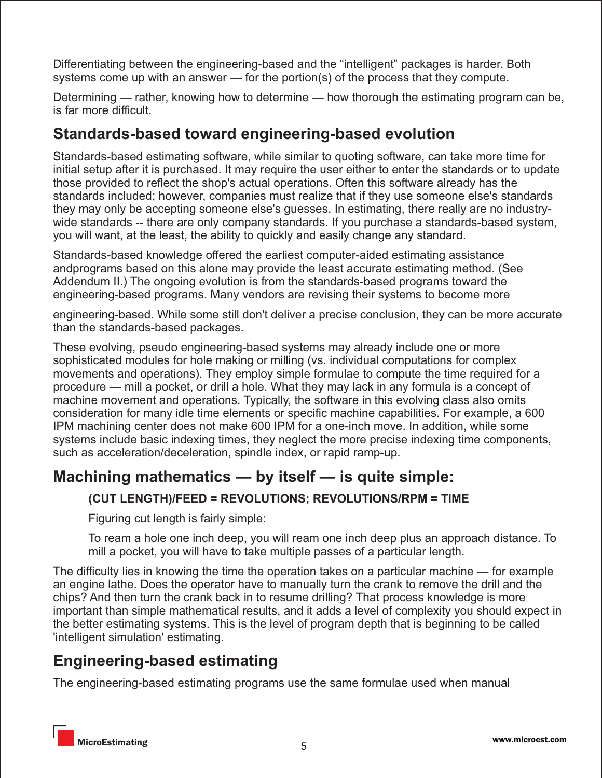Differentiating between the engineering-based and the "intelligent" packages is harder. Both systems come up with an answer — for the portion(s) of the process that they compute.

Determining — rather, knowing how to determine — how thorough the estimating program can be, is far more difficult.

## **Standards-based toward engineering-based evolution**

Standards-based estimating software, while similar to quoting software, can take more time for initial setup after it is purchased. It may require the user either to enter the standards or to update those provided to reflect the shop's actual operations. Often this software already has the standards included; however, companies must realize that if they use someone else's standards they may only be accepting someone else's guesses. In estimating, there really are no industrywide standards -- there are only company standards. If you purchase a standards-based system, you will want, at the least, the ability to quickly and easily change any standard.

Standards-based knowledge offered the earliest computer-aided estimating assistance andprograms based on this alone may provide the least accurate estimating method. (See Addendum II.) The ongoing evolution is from the standards-based programs toward the engineering-based programs. Many vendors are revising their systems to become more

engineering-based. While some still don't deliver a precise conclusion, they can be more accurate than the standards-based packages.

These evolving, pseudo engineering-based systems may already include one or more sophisticated modules for hole making or milling (vs. individual computations for complex movements and operations). They employ simple formulae to compute the time required for a procedure — mill a pocket, or drill a hole. What they may lack in any formula is a concept of machine movement and operations. Typically, the software in this evolving class also omits consideration for many idle time elements or specific machine capabilities. For example, a 600 IPM machining center does not make 600 IPM for a one-inch move. In addition, while some systems include basic indexing times, they neglect the more precise indexing time components, such as acceleration/deceleration, spindle index, or rapid ramp-up.

## **Machining mathematics — by itself — is quite simple:**

#### **(CUT LENGTH)/FEED = REVOLUTIONS; REVOLUTIONS/RPM = TIME**

Figuring cut length is fairly simple:

To ream a hole one inch deep, you will ream one inch deep plus an approach distance. To mill a pocket, you will have to take multiple passes of a particular length.

The difficulty lies in knowing the time the operation takes on a particular machine — for example an engine lathe. Does the operator have to manually turn the crank to remove the drill and the chips? And then turn the crank back in to resume drilling? That process knowledge is more important than simple mathematical results, and it adds a level of complexity you should expect in the better estimating systems. This is the level of program depth that is beginning to be called 'intelligent simulation' estimating.

## **Engineering-based estimating**

The engineering-based estimating programs use the same formulae used when manual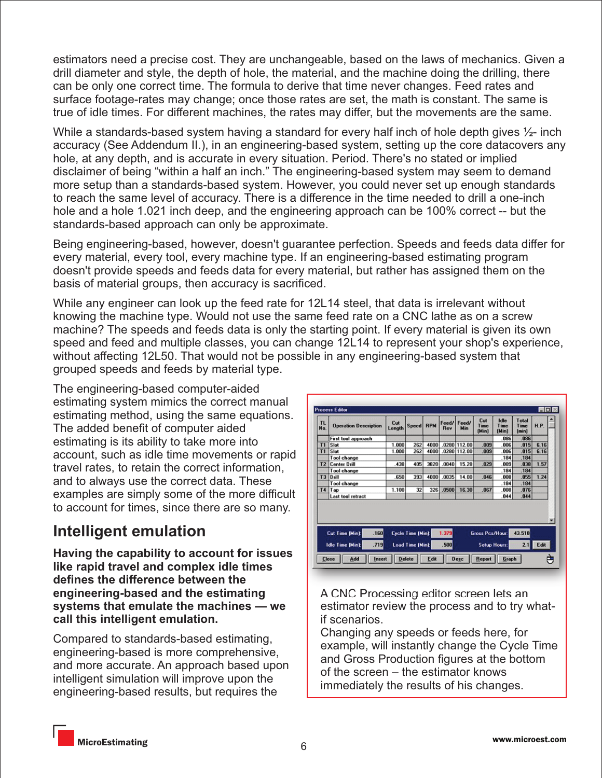estimators need a precise cost. They are unchangeable, based on the laws of mechanics. Given a drill diameter and style, the depth of hole, the material, and the machine doing the drilling, there can be only one correct time. The formula to derive that time never changes. Feed rates and surface footage-rates may change; once those rates are set, the math is constant. The same is true of idle times. For different machines, the rates may differ, but the movements are the same.

While a standards-based system having a standard for every half inch of hole depth gives  $\frac{1}{2}$ - inch accuracy (See Addendum II.), in an engineering-based system, setting up the core datacovers any hole, at any depth, and is accurate in every situation. Period. There's no stated or implied disclaimer of being "within a half an inch." The engineering-based system may seem to demand more setup than a standards-based system. However, you could never set up enough standards to reach the same level of accuracy. There is a difference in the time needed to drill a one-inch hole and a hole 1.021 inch deep, and the engineering approach can be 100% correct -- but the standards-based approach can only be approximate.

Being engineering-based, however, doesn't guarantee perfection. Speeds and feeds data differ for every material, every tool, every machine type. If an engineering-based estimating program doesn't provide speeds and feeds data for every material, but rather has assigned them on the basis of material groups, then accuracy is sacrificed.

While any engineer can look up the feed rate for 12L14 steel, that data is irrelevant without knowing the machine type. Would not use the same feed rate on a CNC lathe as on a screw machine? The speeds and feeds data is only the starting point. If every material is given its own speed and feed and multiple classes, you can change 12L14 to represent your shop's experience, without affecting 12L50. That would not be possible in any engineering-based system that grouped speeds and feeds by material type.

The engineering-based computer-aided estimating system mimics the correct manual estimating method, using the same equations. The added benefit of computer aided estimating is its ability to take more into account, such as idle time movements or rapid travel rates, to retain the correct information, and to always use the correct data. These examples are simply some of the more difficult to account for times, since there are so many.

## **Intelligent emulation**

**Having the capability to account for issues like rapid travel and complex idle times defines the difference between the engineering-based and the estimating systems that emulate the machines — we call this intelligent emulation.**

Compared to standards-based estimating, engineering-based is more comprehensive, and more accurate. An approach based upon intelligent simulation will improve upon the engineering-based results, but requires the



A CNC Processing editor screen lets an estimator review the process and to try whatif scenarios.

Changing any speeds or feeds here, for example, will instantly change the Cycle Time and Gross Production figures at the bottom of the screen – the estimator knows immediately the results of his changes.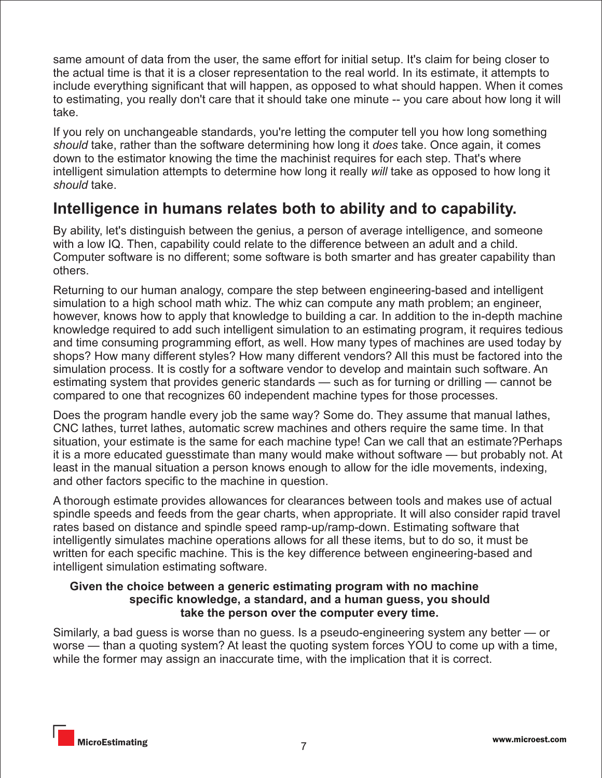same amount of data from the user, the same effort for initial setup. It's claim for being closer to the actual time is that it is a closer representation to the real world. In its estimate, it attempts to include everything significant that will happen, as opposed to what should happen. When it comes to estimating, you really don't care that it should take one minute -- you care about how long it will take.

If you rely on unchangeable standards, you're letting the computer tell you how long something *should* take, rather than the software determining how long it *does* take. Once again, it comes down to the estimator knowing the time the machinist requires for each step. That's where intelligent simulation attempts to determine how long it really *will* take as opposed to how long it *should* take.

## **Intelligence in humans relates both to ability and to capability.**

By ability, let's distinguish between the genius, a person of average intelligence, and someone with a low IQ. Then, capability could relate to the difference between an adult and a child. Computer software is no different; some software is both smarter and has greater capability than others.

Returning to our human analogy, compare the step between engineering-based and intelligent simulation to a high school math whiz. The whiz can compute any math problem; an engineer, however, knows how to apply that knowledge to building a car. In addition to the in-depth machine knowledge required to add such intelligent simulation to an estimating program, it requires tedious and time consuming programming effort, as well. How many types of machines are used today by shops? How many different styles? How many different vendors? All this must be factored into the simulation process. It is costly for a software vendor to develop and maintain such software. An estimating system that provides generic standards — such as for turning or drilling — cannot be compared to one that recognizes 60 independent machine types for those processes.

Does the program handle every job the same way? Some do. They assume that manual lathes, CNC lathes, turret lathes, automatic screw machines and others require the same time. In that situation, your estimate is the same for each machine type! Can we call that an estimate?Perhaps it is a more educated guesstimate than many would make without software — but probably not. At least in the manual situation a person knows enough to allow for the idle movements, indexing, and other factors specific to the machine in question.

A thorough estimate provides allowances for clearances between tools and makes use of actual spindle speeds and feeds from the gear charts, when appropriate. It will also consider rapid travel rates based on distance and spindle speed ramp-up/ramp-down. Estimating software that intelligently simulates machine operations allows for all these items, but to do so, it must be written for each specific machine. This is the key difference between engineering-based and intelligent simulation estimating software.

#### **Given the choice between a generic estimating program with no machine specific knowledge, a standard, and a human guess, you should take the person over the computer every time.**

Similarly, a bad guess is worse than no guess. Is a pseudo-engineering system any better — or worse — than a quoting system? At least the quoting system forces YOU to come up with a time, while the former may assign an inaccurate time, with the implication that it is correct.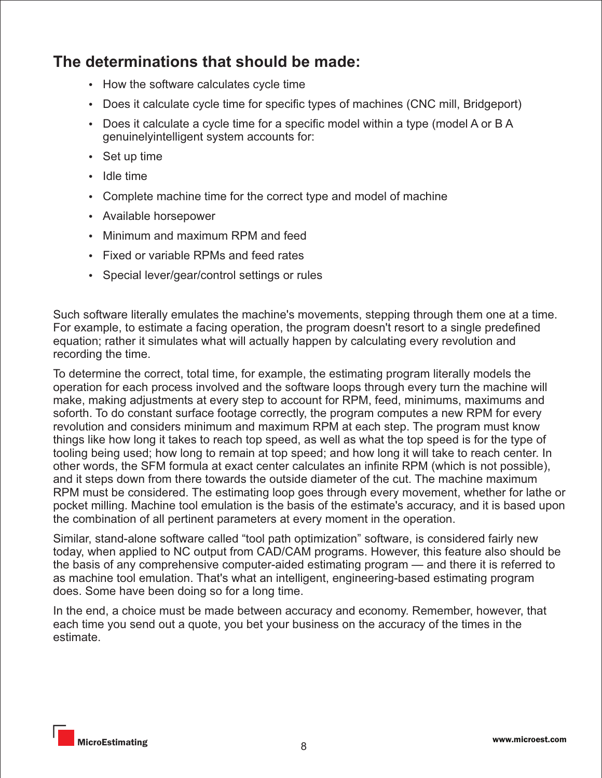## **The determinations that should be made:**

- How the software calculates cycle time
- Does it calculate cycle time for specific types of machines (CNC mill, Bridgeport)
- $\bullet$  Does it calculate a cycle time for a specific model within a type (model A or B A genuinelyintelligent system accounts for:
- $\cdot$  Set up time
- $\cdot$  Idle time
- Complete machine time for the correct type and model of machine
- Available horsepower
- Minimum and maximum RPM and feed
- Fixed or variable RPMs and feed rates
- Special lever/gear/control settings or rules

Such software literally emulates the machine's movements, stepping through them one at a time. For example, to estimate a facing operation, the program doesn't resort to a single predefined equation; rather it simulates what will actually happen by calculating every revolution and recording the time.

To determine the correct, total time, for example, the estimating program literally models the operation for each process involved and the software loops through every turn the machine will make, making adjustments at every step to account for RPM, feed, minimums, maximums and soforth. To do constant surface footage correctly, the program computes a new RPM for every revolution and considers minimum and maximum RPM at each step. The program must know things like how long it takes to reach top speed, as well as what the top speed is for the type of tooling being used; how long to remain at top speed; and how long it will take to reach center. In other words, the SFM formula at exact center calculates an infinite RPM (which is not possible), and it steps down from there towards the outside diameter of the cut. The machine maximum RPM must be considered. The estimating loop goes through every movement, whether for lathe or pocket milling. Machine tool emulation is the basis of the estimate's accuracy, and it is based upon the combination of all pertinent parameters at every moment in the operation.

Similar, stand-alone software called "tool path optimization" software, is considered fairly new today, when applied to NC output from CAD/CAM programs. However, this feature also should be the basis of any comprehensive computer-aided estimating program — and there it is referred to as machine tool emulation. That's what an intelligent, engineering-based estimating program does. Some have been doing so for a long time.

In the end, a choice must be made between accuracy and economy. Remember, however, that each time you send out a quote, you bet your business on the accuracy of the times in the estimate.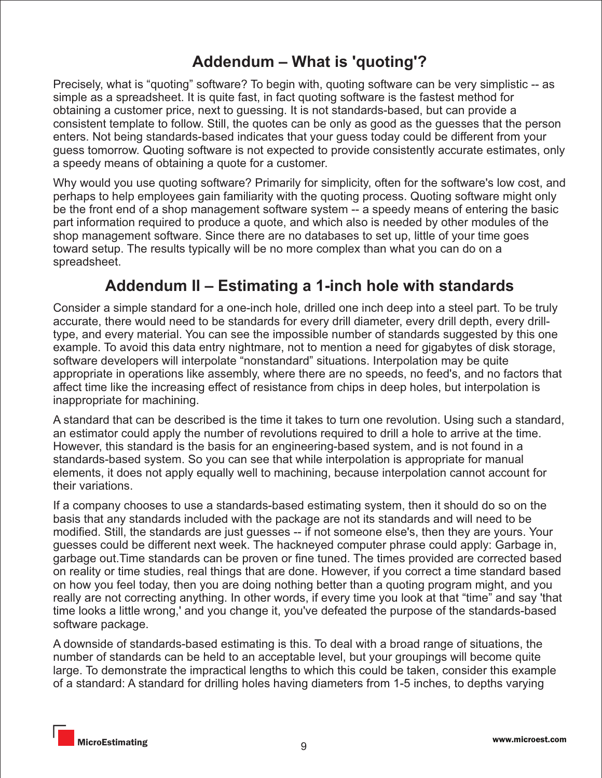## **Addendum – What is 'quoting'?**

Precisely, what is "quoting" software? To begin with, quoting software can be very simplistic -- as simple as a spreadsheet. It is quite fast, in fact quoting software is the fastest method for obtaining a customer price, next to guessing. It is not standards-based, but can provide a consistent template to follow. Still, the quotes can be only as good as the guesses that the person enters. Not being standards-based indicates that your guess today could be different from your guess tomorrow. Quoting software is not expected to provide consistently accurate estimates, only a speedy means of obtaining a quote for a customer.

Why would you use quoting software? Primarily for simplicity, often for the software's low cost, and perhaps to help employees gain familiarity with the quoting process. Quoting software might only be the front end of a shop management software system -- a speedy means of entering the basic part information required to produce a quote, and which also is needed by other modules of the shop management software. Since there are no databases to set up, little of your time goes toward setup. The results typically will be no more complex than what you can do on a spreadsheet.

## **Addendum II – Estimating a 1-inch hole with standards**

Consider a simple standard for a one-inch hole, drilled one inch deep into a steel part. To be truly accurate, there would need to be standards for every drill diameter, every drill depth, every drilltype, and every material. You can see the impossible number of standards suggested by this one example. To avoid this data entry nightmare, not to mention a need for gigabytes of disk storage, software developers will interpolate "nonstandard" situations. Interpolation may be quite appropriate in operations like assembly, where there are no speeds, no feed's, and no factors that affect time like the increasing effect of resistance from chips in deep holes, but interpolation is inappropriate for machining.

A standard that can be described is the time it takes to turn one revolution. Using such a standard, an estimator could apply the number of revolutions required to drill a hole to arrive at the time. However, this standard is the basis for an engineering-based system, and is not found in a standards-based system. So you can see that while interpolation is appropriate for manual elements, it does not apply equally well to machining, because interpolation cannot account for their variations.

If a company chooses to use a standards-based estimating system, then it should do so on the basis that any standards included with the package are not its standards and will need to be modified. Still, the standards are just guesses -- if not someone else's, then they are yours. Your guesses could be different next week. The hackneyed computer phrase could apply: Garbage in, garbage out.Time standards can be proven or fine tuned. The times provided are corrected based on reality or time studies, real things that are done. However, if you correct a time standard based on how you feel today, then you are doing nothing better than a quoting program might, and you really are not correcting anything. In other words, if every time you look at that "time" and say 'that time looks a little wrong,' and you change it, you've defeated the purpose of the standards-based software package.

A downside of standards-based estimating is this. To deal with a broad range of situations, the number of standards can be held to an acceptable level, but your groupings will become quite large. To demonstrate the impractical lengths to which this could be taken, consider this example of a standard: A standard for drilling holes having diameters from 1-5 inches, to depths varying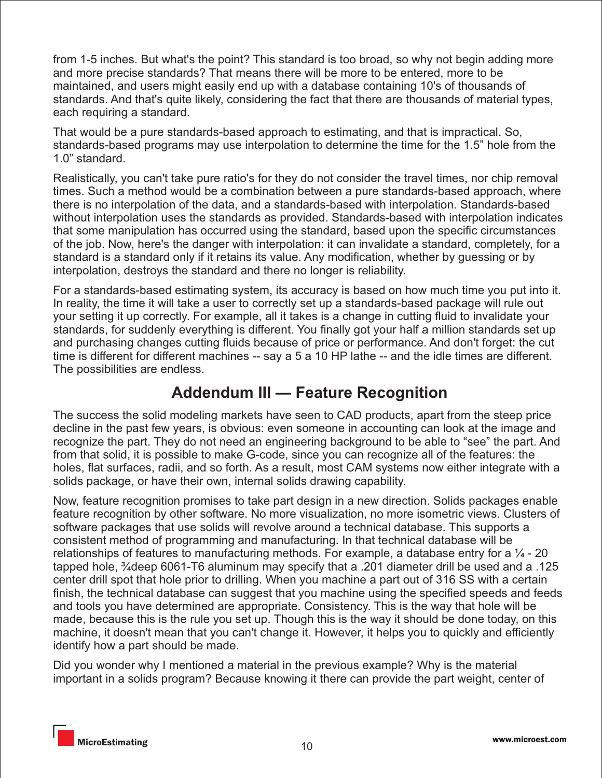from 1-5 inches. But what's the point? This standard is too broad, so why not begin adding more and more precise standards? That means there will be more to be entered, more to be maintained, and users might easily end up with a database containing 10's of thousands of standards. And that's quite likely, considering the fact that there are thousands of material types, each requiring a standard.

That would be a pure standards-based approach to estimating, and that is impractical. So, standards-based programs may use interpolation to determine the time for the 1.5" hole from the 1.0" standard.

Realistically, you can't take pure ratio's for they do not consider the travel times, nor chip removal times. Such a method would be a combination between a pure standards-based approach, where there is no interpolation of the data, and a standards-based with interpolation. Standards-based without interpolation uses the standards as provided. Standards-based with interpolation indicates that some manipulation has occurred using the standard, based upon the specific circumstances of the job. Now, here's the danger with interpolation: it can invalidate a standard, completely, for a standard is a standard only if it retains its value. Any modification, whether by guessing or by interpolation, destroys the standard and there no longer is reliability.

For a standards-based estimating system, its accuracy is based on how much time you put into it. In reality, the time it will take a user to correctly set up a standards-based package will rule out your setting it up correctly. For example, all it takes is a change in cutting fluid to invalidate your standards, for suddenly everything is different. You finally got your half a million standards set up and purchasing changes cutting fluids because of price or performance. And don't forget: the cut time is different for different machines -- say a 5 a 10 HP lathe -- and the idle times are different. The possibilities are endless.

## **Addendum III — Feature Recognition**

The success the solid modeling markets have seen to CAD products, apart from the steep price decline in the past few years, is obvious: even someone in accounting can look at the image and recognize the part. They do not need an engineering background to be able to "see" the part. And from that solid, it is possible to make G-code, since you can recognize all of the features: the holes, flat surfaces, radii, and so forth. As a result, most CAM systems now either integrate with a solids package, or have their own, internal solids drawing capability.

Now, feature recognition promises to take part design in a new direction. Solids packages enable feature recognition by other software. No more visualization, no more isometric views. Clusters of software packages that use solids will revolve around a technical database. This supports a consistent method of programming and manufacturing. In that technical database will be relationships of features to manufacturing methods. For example, a database entry for a  $\frac{1}{4}$  - 20 tapped hole, ¾deep 6061-T6 aluminum may specify that a .201 diameter drill be used and a .125 center drill spot that hole prior to drilling. When you machine a part out of 316 SS with a certain finish, the technical database can suggest that you machine using the specified speeds and feeds and tools you have determined are appropriate. Consistency. This is the way that hole will be made, because this is the rule you set up. Though this is the way it should be done today, on this machine, it doesn't mean that you can't change it. However, it helps you to quickly and efficiently identify how a part should be made.

Did you wonder why I mentioned a material in the previous example? Why is the material important in a solids program? Because knowing it there can provide the part weight, center of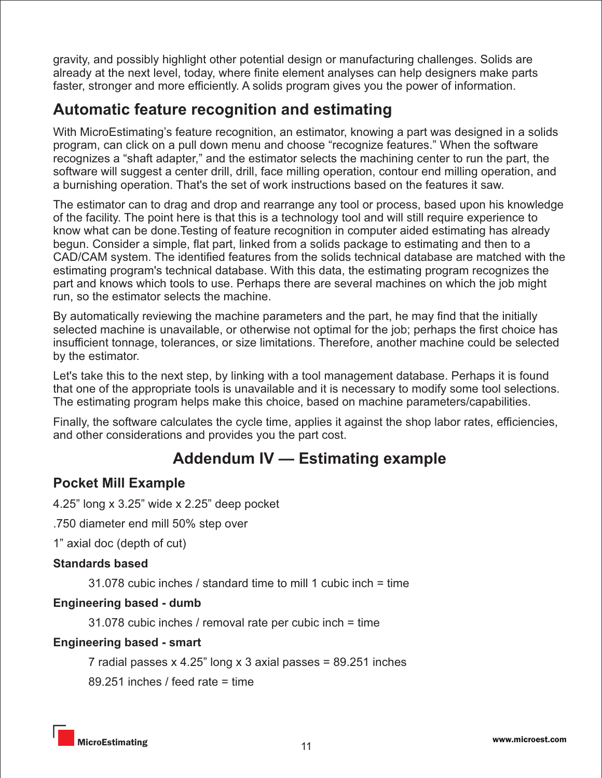gravity, and possibly highlight other potential design or manufacturing challenges. Solids are already at the next level, today, where finite element analyses can help designers make parts faster, stronger and more efficiently. A solids program gives you the power of information.

## **Automatic feature recognition and estimating**

With MicroEstimating's feature recognition, an estimator, knowing a part was designed in a solids program, can click on a pull down menu and choose "recognize features." When the software recognizes a "shaft adapter," and the estimator selects the machining center to run the part, the software will suggest a center drill, drill, face milling operation, contour end milling operation, and a burnishing operation. That's the set of work instructions based on the features it saw.

The estimator can to drag and drop and rearrange any tool or process, based upon his knowledge of the facility. The point here is that this is a technology tool and will still require experience to know what can be done.Testing of feature recognition in computer aided estimating has already begun. Consider a simple, flat part, linked from a solids package to estimating and then to a CAD/CAM system. The identified features from the solids technical database are matched with the estimating program's technical database. With this data, the estimating program recognizes the part and knows which tools to use. Perhaps there are several machines on which the job might run, so the estimator selects the machine.

By automatically reviewing the machine parameters and the part, he may find that the initially selected machine is unavailable, or otherwise not optimal for the job; perhaps the first choice has insufficient tonnage, tolerances, or size limitations. Therefore, another machine could be selected by the estimator.

Let's take this to the next step, by linking with a tool management database. Perhaps it is found that one of the appropriate tools is unavailable and it is necessary to modify some tool selections. The estimating program helps make this choice, based on machine parameters/capabilities.

Finally, the software calculates the cycle time, applies it against the shop labor rates, efficiencies, and other considerations and provides you the part cost.

## **Addendum IV — Estimating example**

#### **Pocket Mill Example**

4.25" long x 3.25" wide x 2.25" deep pocket

.750 diameter end mill 50% step over

1" axial doc (depth of cut)

#### **Standards based**

31.078 cubic inches / standard time to mill 1 cubic inch = time

#### **Engineering based - dumb**

31.078 cubic inches / removal rate per cubic inch = time

#### **Engineering based - smart**

7 radial passes  $x$  4.25" long  $x$  3 axial passes = 89.251 inches

89.251 inches / feed rate = time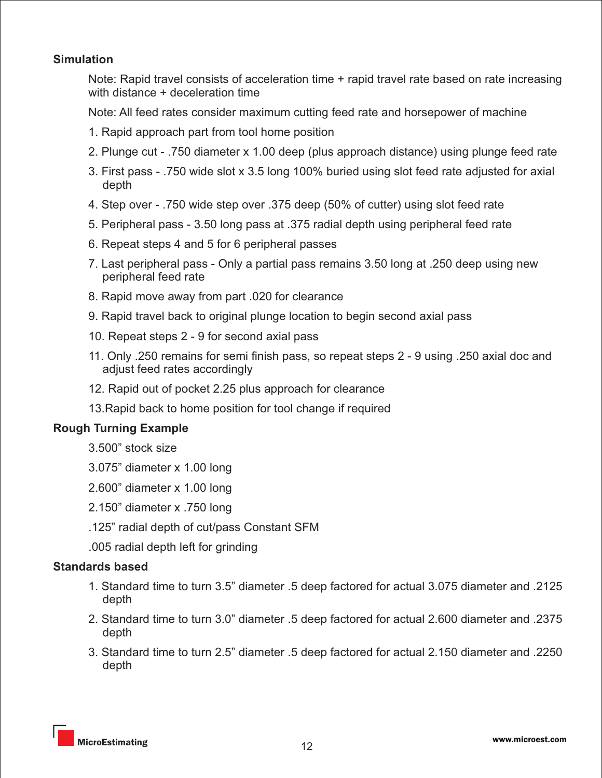#### **Simulation**

 Note: Rapid travel consists of acceleration time + rapid travel rate based on rate increasing with distance + deceleration time

Note: All feed rates consider maximum cutting feed rate and horsepower of machine

- 1. Rapid approach part from tool home position
- 2. Plunge cut .750 diameter x 1.00 deep (plus approach distance) using plunge feed rate
- 3. First pass .750 wide slot x 3.5 long 100% buried using slot feed rate adjusted for axial depth
- 4. Step over .750 wide step over .375 deep (50% of cutter) using slot feed rate
- 5. Peripheral pass 3.50 long pass at .375 radial depth using peripheral feed rate
- 6. Repeat steps 4 and 5 for 6 peripheral passes
- 7. Last peripheral pass Only a partial pass remains 3.50 long at .250 deep using new peripheral feed rate
- 8. Rapid move away from part .020 for clearance
- 9. Rapid travel back to original plunge location to begin second axial pass
- 10. Repeat steps 2 9 for second axial pass
- 11. Only .250 remains for semi finish pass, so repeat steps 2 9 using .250 axial doc and adjust feed rates accordingly
- 12. Rapid out of pocket 2.25 plus approach for clearance
- 13.Rapid back to home position for tool change if required

#### **Rough Turning Example**

- 3.500" stock size
- 3.075" diameter x 1.00 long
- 2.600" diameter x 1.00 long
- 2.150" diameter x .750 long
- .125" radial depth of cut/pass Constant SFM
- .005 radial depth left for grinding

#### **Standards based**

- 1. Standard time to turn 3.5" diameter .5 deep factored for actual 3.075 diameter and .2125 depth
- 2. Standard time to turn 3.0" diameter .5 deep factored for actual 2.600 diameter and .2375 depth
- 3. Standard time to turn 2.5" diameter .5 deep factored for actual 2.150 diameter and .2250 depth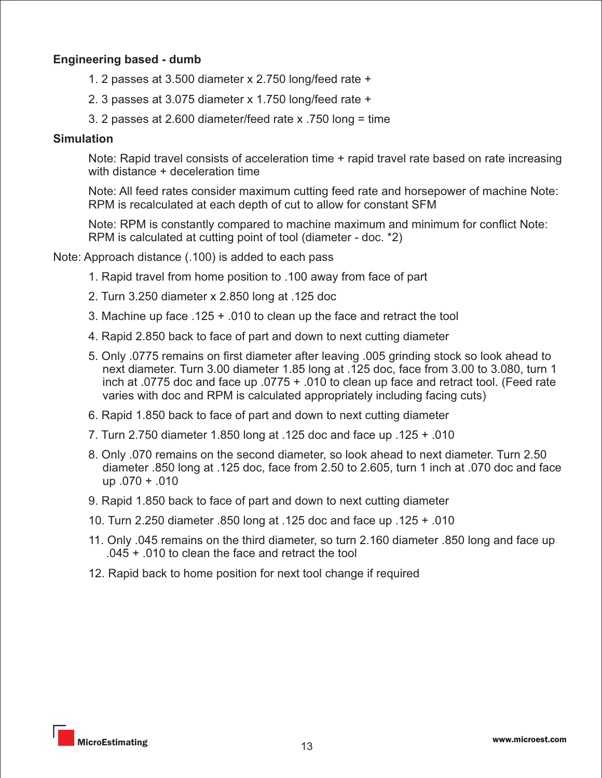#### **Engineering based - dumb**

- 1. 2 passes at 3.500 diameter x 2.750 long/feed rate +
- 2. 3 passes at 3.075 diameter x 1.750 long/feed rate +
- 3. 2 passes at 2.600 diameter/feed rate x .750 long = time

#### **Simulation**

Note: Rapid travel consists of acceleration time + rapid travel rate based on rate increasing with distance + deceleration time

Note: All feed rates consider maximum cutting feed rate and horsepower of machine Note: RPM is recalculated at each depth of cut to allow for constant SFM

Note: RPM is constantly compared to machine maximum and minimum for conflict Note: RPM is calculated at cutting point of tool (diameter - doc. \*2)

Note: Approach distance (.100) is added to each pass

- 1. Rapid travel from home position to .100 away from face of part
- 2. Turn 3.250 diameter x 2.850 long at .125 doc
- 3. Machine up face .125 + .010 to clean up the face and retract the tool
- 4. Rapid 2.850 back to face of part and down to next cutting diameter
- 5. Only .0775 remains on first diameter after leaving .005 grinding stock so look ahead to next diameter. Turn 3.00 diameter 1.85 long at .125 doc, face from 3.00 to 3.080, turn 1 inch at .0775 doc and face up .0775 + .010 to clean up face and retract tool. (Feed rate varies with doc and RPM is calculated appropriately including facing cuts)
- 6. Rapid 1.850 back to face of part and down to next cutting diameter
- 7. Turn 2.750 diameter 1.850 long at .125 doc and face up .125 + .010
- 8. Only .070 remains on the second diameter, so look ahead to next diameter. Turn 2.50 diameter .850 long at .125 doc, face from 2.50 to 2.605, turn 1 inch at .070 doc and face up  $.070 + .010$
- 9. Rapid 1.850 back to face of part and down to next cutting diameter
- 10. Turn 2.250 diameter .850 long at .125 doc and face up .125 + .010
- 11. Only .045 remains on the third diameter, so turn 2.160 diameter .850 long and face up .045 + .010 to clean the face and retract the tool
- 12. Rapid back to home position for next tool change if required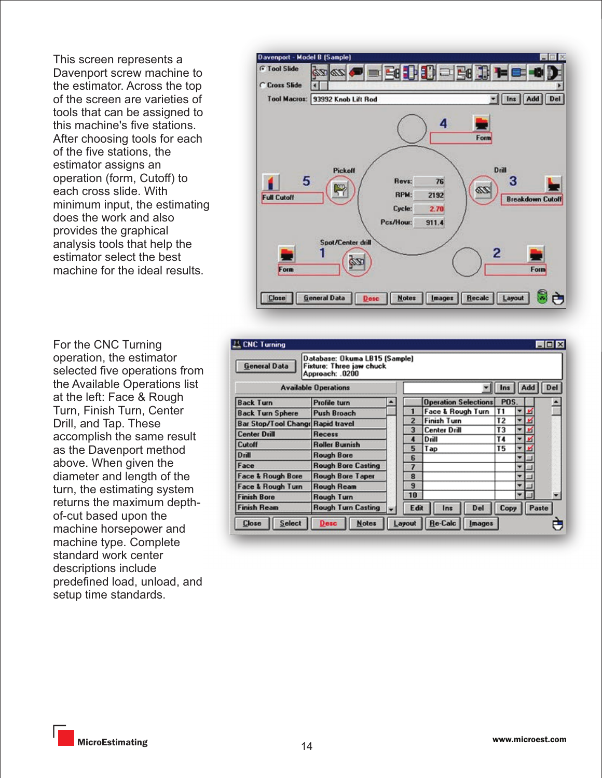This screen represents a Davenport screw machine to the estimator. Across the top of the screen are varieties of tools that can be assigned to this machine's five stations. After choosing tools for each of the five stations, the estimator assigns an operation (form, Cutoff) to each cross slide. With minimum input, the estimating does the work and also provides the graphical analysis tools that help the estimator select the best machine for the ideal results.

For the CNC Turning operation, the estimator selected five operations from the Available Operations list at the left: Face & Rough Turn, Finish Turn, Center Drill, and Tap. These accomplish the same result as the Davenport method above. When given the diameter and length of the turn, the estimating system returns the maximum depthof-cut based upon the machine horsepower and machine type. Complete standard work center descriptions include predefined load, unload, and setup time standards.



| <b>CNC Turning</b><br><b>General Data</b> | Database: Okuma LB15 (Sample)<br>Fixture: Three jaw chuck<br>Approach: .0200 |  |                |                             |                |        | $ \Box$ $\times$ |  |  |  |
|-------------------------------------------|------------------------------------------------------------------------------|--|----------------|-----------------------------|----------------|--------|------------------|--|--|--|
| <b>Available Operations</b>               |                                                                              |  |                | Add<br>Del<br>Ins           |                |        |                  |  |  |  |
| <b>Back Turn</b>                          | <b>Profile turn</b>                                                          |  |                | <b>Operation Selections</b> | POS.           |        |                  |  |  |  |
| <b>Back Turn Sphere</b>                   | Push Broach                                                                  |  |                | Face & Rough Turn           | T1             | ▼      |                  |  |  |  |
| <b>Bar Stop/Tool Change Rapid travel</b>  |                                                                              |  | $\overline{c}$ | <b>Finish Turn</b>          | T <sub>2</sub> | ▼<br>n |                  |  |  |  |
| <b>Center Drill</b>                       | Recess                                                                       |  | 3              | <b>Center Drill</b>         | T3             | ۰      |                  |  |  |  |
| Cutoff                                    | <b>Roller Burnish</b>                                                        |  |                | Drill                       | T4             | ▼      |                  |  |  |  |
| <b>Drill</b>                              | <b>Rough Bore</b>                                                            |  | 5              | Tap                         | Τ5             | ٠      |                  |  |  |  |
| Face                                      | <b>Rough Bore Casting</b>                                                    |  | <b>G</b><br>7  |                             |                |        |                  |  |  |  |
| <b>Face &amp; Rough Bore</b>              | <b>Rough Bore Taper</b>                                                      |  | 8              |                             |                |        |                  |  |  |  |
| Face & Rough Turn                         | <b>Rough Ream</b>                                                            |  | $\mathbf{a}$   |                             |                |        |                  |  |  |  |
| <b>Finish Bore</b>                        | Rough Turn                                                                   |  | 10             |                             |                | ₩      |                  |  |  |  |
| <b>Finish Ream</b>                        | <b>Rough Turn Casting</b>                                                    |  | Edit           | Del<br>Ins                  | Copy           |        | Paste            |  |  |  |
| <b>Close</b><br>Select                    | <b>Notes</b><br>Desc                                                         |  | Layout         | <b>Re-Calc</b><br>Images    |                |        |                  |  |  |  |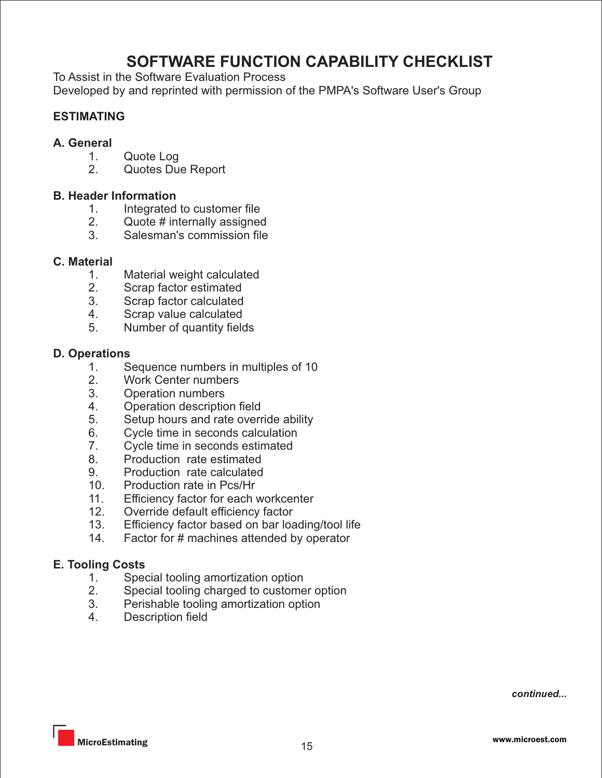## **SOFTWARE FUNCTION CAPABILITY CHECKLIST**

To Assist in the Software Evaluation Process

Developed by and reprinted with permission of the PMPA's Software User's Group

#### **ESTIMATING**

- **A. General**
	- 1. Quote Log<br>2. Quotes Due
	- Quotes Due Report

#### **B. Header Information**

- 1. Integrated to customer file<br>2. Quote # internally assigned
- Quote # internally assigned
- 3. Salesman's commission file

#### **C. Material**

- 1. Material weight calculated<br>2. Scrap factor estimated
- Scrap factor estimated
- 3. Scrap factor calculated
- 4. Scrap value calculated
- 5. Number of quantity fields

#### **D. Operations**

- 1. Sequence numbers in multiples of 10<br>2. Work Center numbers
- 2. Work Center numbers<br>3. Operation numbers
- **Operation numbers**
- 4. Operation description field
- 5. Setup hours and rate override ability
- 6. Cycle time in seconds calculation
- 7. Cycle time in seconds estimated
- 8. Production rate estimated
- 9. Production rate calculated
- 10. Production rate in Pcs/Hr<br>11. Efficiency factor for each
- Efficiency factor for each workcenter
- 12. Override default efficiency factor
- 13. Efficiency factor based on bar loading/tool life
- 14. Factor for # machines attended by operator

#### **E. Tooling Costs**

- 1. Special tooling amortization option<br>2. Special tooling charged to custome
- 2. Special tooling charged to customer option<br>3. Perishable tooling amortization option
- Perishable tooling amortization option
- 4. Description field

*continued...*

<sup>15</sup> MicroEstimating www.microest.com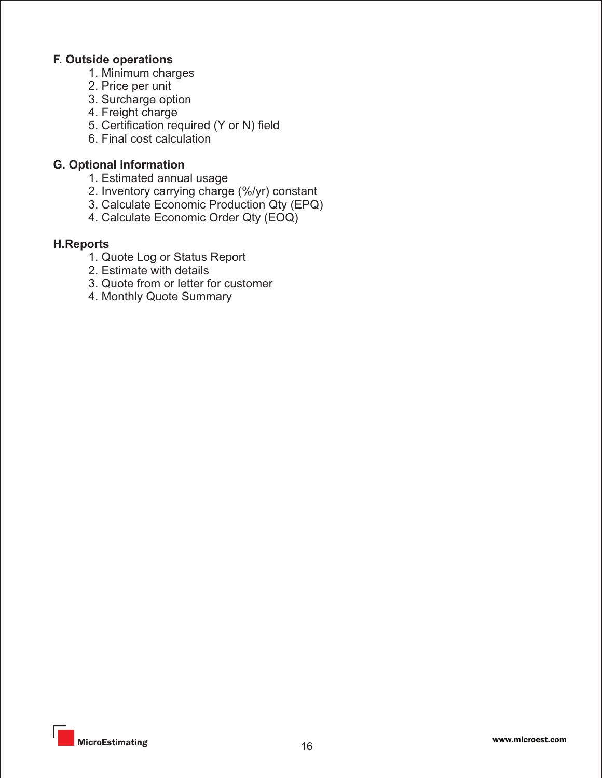#### **F. Outside operations**

- 1. Minimum charges
- 2. Price per unit
- 3. Surcharge option
- 4. Freight charge
- 5. Certification required (Y or N) field
- 6. Final cost calculation

#### **G. Optional Information**

- 1. Estimated annual usage
- 2. Inventory carrying charge (%/yr) constant
- 3. Calculate Economic Production Qty (EPQ)
- 4. Calculate Economic Order Qty (EOQ)

#### **H.Reports**

- 1. Quote Log or Status Report
- 2. Estimate with details
- 3. Quote from or letter for customer
- 4. Monthly Quote Summary